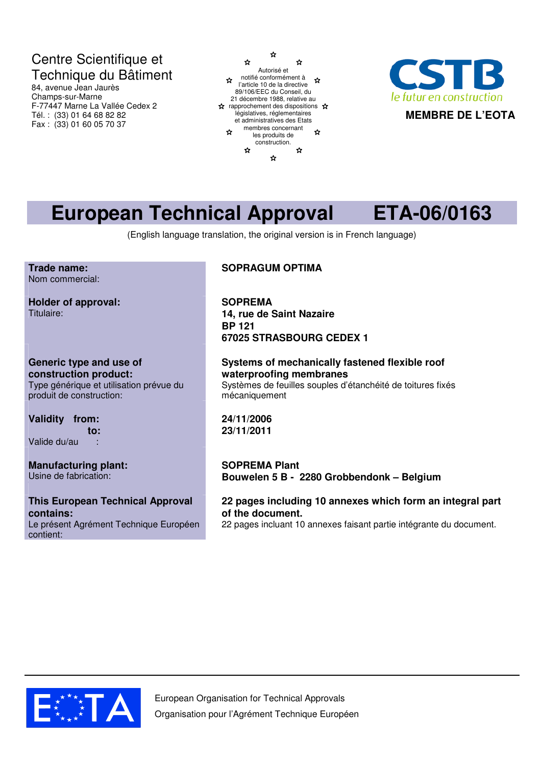# Centre Scientifique et Technique du Bâtiment

84, avenue Jean Jaurès Champs-sur-Marne F-77447 Marne La Vallée Cedex 2 Tél. : (33) 01 64 68 82 82 Fax : (33) 01 60 05 70 37





# **European Technical Approval ETA-06/0163**

(English language translation, the original version is in French language)

**Trade name:** Nom commercial:

**Holder of approval:** Titulaire:

**Generic type and use of construction product:** Type générique et utilisation prévue du produit de construction:

**Validity from: to:** Valide du/au :

**Manufacturing plant:** Usine de fabrication:

**This European Technical Approval contains:** Le présent Agrément Technique Européen contient:

## **SOPRAGUM OPTIMA**

**SOPREMA 14, rue de Saint Nazaire BP 121 67025 STRASBOURG CEDEX 1**

**Systems of mechanically fastened flexible roof waterproofing membranes** Systèmes de feuilles souples d'étanchéité de toitures fixés mécaniquement

**24/11/2006 23/11/2011**

**SOPREMA Plant Bouwelen 5 B - 2280 Grobbendonk – Belgium**

**22 pages including 10 annexes which form an integral part of the document.** 22 pages incluant 10 annexes faisant partie intégrante du document.

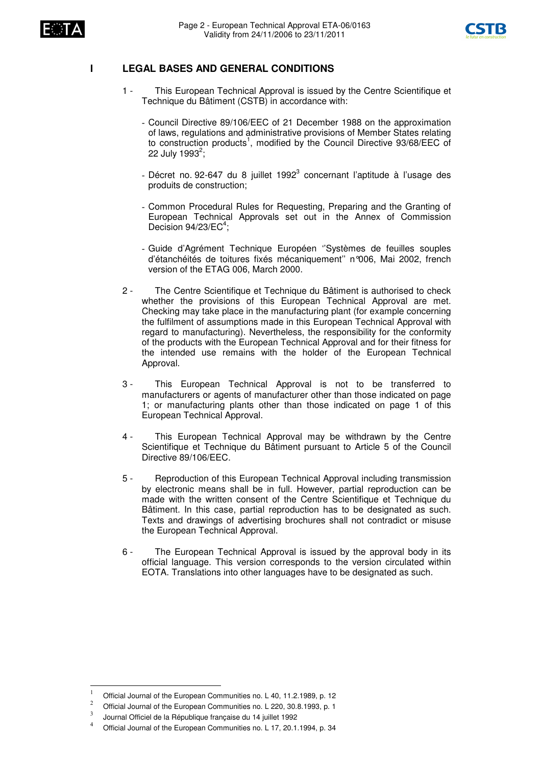



#### **I LEGAL BASES AND GENERAL CONDITIONS**

- 1 This European Technical Approval is issued by the Centre Scientifique et Technique du Bâtiment (CSTB) in accordance with:
	- Council Directive 89/106/EEC of 21 December 1988 on the approximation of laws, regulations and administrative provisions of Member States relating to construction products<sup>1</sup>, modified by the Council Directive 93/68/EEC of 22 July 1993<sup>2</sup>;
	- Décret no. 92-647 du 8 juillet 1992<sup>3</sup> concernant l'aptitude à l'usage des produits de construction;
	- Common Procedural Rules for Requesting, Preparing and the Granting of European Technical Approvals set out in the Annex of Commission Decision 94/23/EC<sup>4</sup>;
	- Guide d'Agrément Technique Européen ''Systèmes de feuilles souples d'étanchéités de toitures fixés mécaniquement'' n°006, Mai 2002, french version of the ETAG 006, March 2000.
- 2 The Centre Scientifique et Technique du Bâtiment is authorised to check whether the provisions of this European Technical Approval are met. Checking may take place in the manufacturing plant (for example concerning the fulfilment of assumptions made in this European Technical Approval with regard to manufacturing). Nevertheless, the responsibility for the conformity of the products with the European Technical Approval and for their fitness for the intended use remains with the holder of the European Technical Approval.
- 3 This European Technical Approval is not to be transferred to manufacturers or agents of manufacturer other than those indicated on page 1; or manufacturing plants other than those indicated on page 1 of this European Technical Approval.
- 4 This European Technical Approval may be withdrawn by the Centre Scientifique et Technique du Bâtiment pursuant to Article 5 of the Council Directive 89/106/EEC.
- 5 Reproduction of this European Technical Approval including transmission by electronic means shall be in full. However, partial reproduction can be made with the written consent of the Centre Scientifique et Technique du Bâtiment. In this case, partial reproduction has to be designated as such. Texts and drawings of advertising brochures shall not contradict or misuse the European Technical Approval.
- 6 The European Technical Approval is issued by the approval body in its official language. This version corresponds to the version circulated within EOTA. Translations into other languages have to be designated as such.

Official Journal of the European Communities no. L 40, 11.2.1989, p. 12

Official Journal of the European Communities no. L 220, 30.8.1993, p. 1

 $\overline{\mathbf{3}}$ Journal Officiel de la République française du 14 juillet 1992

<sup>&</sup>lt;sup>4</sup> Official Journal of the European Communities no. L 17, 20.1.1994, p. 34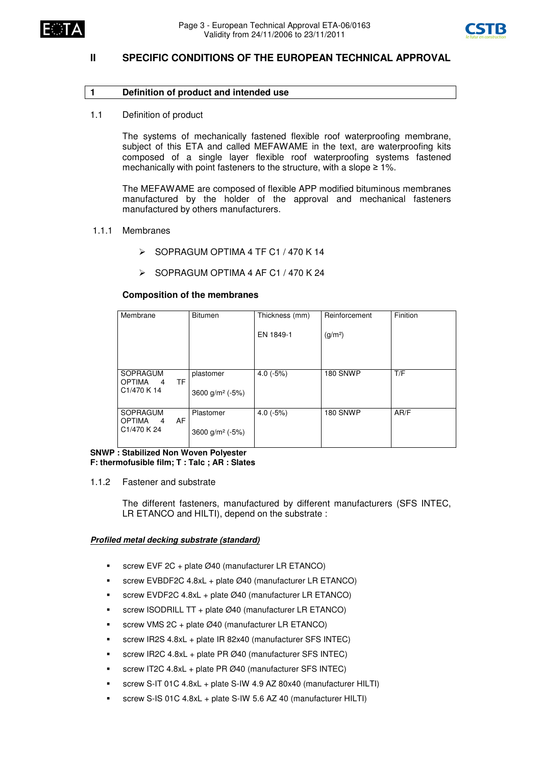



### **II SPECIFIC CONDITIONS OF THE EUROPEAN TECHNICAL APPROVAL**

#### **1 Definition of product and intended use**

1.1 Definition of product

The systems of mechanically fastened flexible roof waterproofing membrane, subject of this ETA and called MEFAWAME in the text, are waterproofing kits composed of a single layer flexible roof waterproofing systems fastened mechanically with point fasteners to the structure, with a slope  $\geq 1\%$ .

The MEFAWAME are composed of flexible APP modified bituminous membranes manufactured by the holder of the approval and mechanical fasteners manufactured by others manufacturers.

#### 1.1.1 Membranes

- $\triangleright$  SOPRAGUM OPTIMA 4 TF C1 / 470 K 14
- $\geq$  SOPRAGUM OPTIMA 4 AF C1 / 470 K 24

#### **Composition of the membranes**

| Membrane                                | <b>Bitumen</b>                   | Thickness (mm) | Reinforcement       | Finition |
|-----------------------------------------|----------------------------------|----------------|---------------------|----------|
|                                         |                                  | EN 1849-1      | (g/m <sup>2</sup> ) |          |
| <b>SOPRAGUM</b>                         | plastomer                        | $4.0(-5%)$     | <b>180 SNWP</b>     | T/F      |
| TF<br><b>OPTIMA</b><br>4<br>C1/470 K 14 | 3600 g/m <sup>2</sup> ( $-5\%$ ) |                |                     |          |
| SOPRAGUM<br>AF<br><b>OPTIMA</b><br>4    | Plastomer                        | $4.0(-5%)$     | <b>180 SNWP</b>     | AR/F     |
| C <sub>1</sub> /470 K <sub>24</sub>     | 3600 g/m <sup>2</sup> ( $-5\%$ ) |                |                     |          |

**SNWP : Stabilized Non Woven Polyester F: thermofusible film; T : Talc ; AR : Slates**

1.1.2 Fastener and substrate

The different fasteners, manufactured by different manufacturers (SFS INTEC, LR ETANCO and HILTI), depend on the substrate :

#### *Profiled metal decking substrate (standard)*

- screw EVF 2C + plate Ø40 (manufacturer LR ETANCO)
- screw EVBDF2C 4.8xL + plate Ø40 (manufacturer LR ETANCO)
- screw EVDF2C 4.8xL + plate Ø40 (manufacturer LR ETANCO)
- screw ISODRILL TT + plate Ø40 (manufacturer LR ETANCO)
- screw VMS 2C + plate Ø40 (manufacturer LR ETANCO)
- screw IR2S 4.8xL + plate IR 82x40 (manufacturer SFS INTEC)
- screw IR2C 4.8xL + plate PR Ø40 (manufacturer SFS INTEC)
- screw IT2C 4.8xL + plate PR Ø40 (manufacturer SFS INTEC)
- screw S-IT 01C 4.8xL + plate S-IW 4.9 AZ 80x40 (manufacturer HILTI)
- screw S-IS 01C 4.8xL + plate S-IW 5.6 AZ 40 (manufacturer HILTI)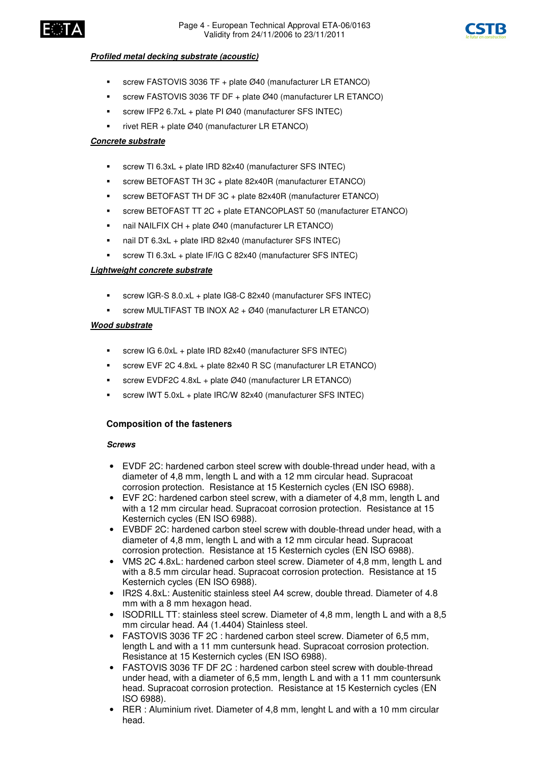



#### *Profiled metal decking substrate (acoustic)*

- screw FASTOVIS 3036 TF + plate Ø40 (manufacturer LR ETANCO)
- screw FASTOVIS 3036 TF DF + plate Ø40 (manufacturer LR ETANCO)
- screw IFP2 6.7xL + plate PI Ø40 (manufacturer SFS INTEC)
- rivet RER + plate Ø40 (manufacturer LR ETANCO)

#### *Concrete substrate*

- screw TI 6.3xL + plate IRD 82x40 (manufacturer SFS INTEC)
- screw BETOFAST TH 3C + plate 82x40R (manufacturer ETANCO)
- screw BETOFAST TH DF 3C + plate 82x40R (manufacturer ETANCO)
- screw BETOFAST TT 2C + plate ETANCOPLAST 50 (manufacturer ETANCO)
- nail NAILFIX CH + plate Ø40 (manufacturer LR ETANCO)
- nail DT 6.3xL + plate IRD 82x40 (manufacturer SFS INTEC)
- screw TI 6.3xL + plate IF/IG C 82x40 (manufacturer SFS INTEC)

#### *Lightweight concrete substrate*

- screw IGR-S 8.0.xL + plate IG8-C 82x40 (manufacturer SFS INTEC)
- screw MULTIFAST TB INOX A2 + Ø40 (manufacturer LR ETANCO)

#### *Wood substrate*

- screw IG 6.0xL + plate IRD 82x40 (manufacturer SFS INTEC)
- screw EVF 2C 4.8xL + plate 82x40 R SC (manufacturer LR ETANCO)
- screw EVDF2C 4.8xL + plate Ø40 (manufacturer LR ETANCO)
- screw IWT 5.0xL + plate IRC/W 82x40 (manufacturer SFS INTEC)

#### **Composition of the fasteners**

#### *Screws*

- EVDF 2C: hardened carbon steel screw with double-thread under head, with a diameter of 4,8 mm, length L and with a 12 mm circular head. Supracoat corrosion protection. Resistance at 15 Kesternich cycles (EN ISO 6988).
- EVF 2C: hardened carbon steel screw, with a diameter of 4,8 mm, length L and with a 12 mm circular head. Supracoat corrosion protection. Resistance at 15 Kesternich cycles (EN ISO 6988).
- EVBDF 2C: hardened carbon steel screw with double-thread under head, with a diameter of 4,8 mm, length L and with a 12 mm circular head. Supracoat corrosion protection. Resistance at 15 Kesternich cycles (EN ISO 6988).
- VMS 2C 4.8xL: hardened carbon steel screw. Diameter of 4,8 mm, length L and with a 8.5 mm circular head. Supracoat corrosion protection. Resistance at 15 Kesternich cycles (EN ISO 6988).
- IR2S 4.8xL: Austenitic stainless steel A4 screw, double thread. Diameter of 4.8 mm with a 8 mm hexagon head.
- ISODRILL TT: stainless steel screw. Diameter of 4,8 mm, length L and with a 8,5 mm circular head. A4 (1.4404) Stainless steel.
- FASTOVIS 3036 TF 2C : hardened carbon steel screw. Diameter of 6,5 mm, length L and with a 11 mm cuntersunk head. Supracoat corrosion protection. Resistance at 15 Kesternich cycles (EN ISO 6988).
- FASTOVIS 3036 TF DF 2C : hardened carbon steel screw with double-thread under head, with a diameter of 6,5 mm, length L and with a 11 mm countersunk head. Supracoat corrosion protection. Resistance at 15 Kesternich cycles (EN ISO 6988).
- RER : Aluminium rivet. Diameter of 4,8 mm, lenght L and with a 10 mm circular head.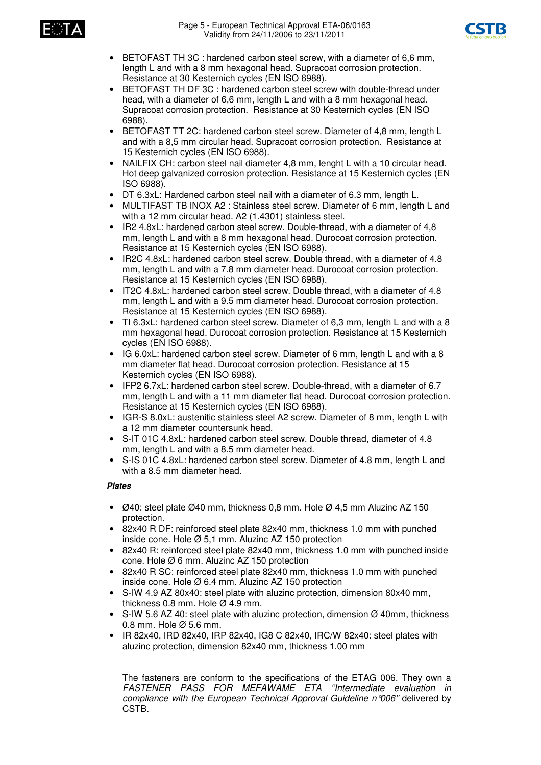



- BETOFAST TH 3C : hardened carbon steel screw, with a diameter of 6,6 mm, length L and with a 8 mm hexagonal head. Supracoat corrosion protection. Resistance at 30 Kesternich cycles (EN ISO 6988).
- BETOFAST TH DF 3C : hardened carbon steel screw with double-thread under head, with a diameter of 6,6 mm, length L and with a 8 mm hexagonal head. Supracoat corrosion protection. Resistance at 30 Kesternich cycles (EN ISO 6988).
- BETOFAST TT 2C: hardened carbon steel screw. Diameter of 4,8 mm, length L and with a 8,5 mm circular head. Supracoat corrosion protection. Resistance at 15 Kesternich cycles (EN ISO 6988).
- NAILFIX CH: carbon steel nail diameter 4,8 mm, lenght L with a 10 circular head. Hot deep galvanized corrosion protection. Resistance at 15 Kesternich cycles (EN ISO 6988).
- DT 6.3xL: Hardened carbon steel nail with a diameter of 6.3 mm, length L.
- MULTIFAST TB INOX A2 : Stainless steel screw. Diameter of 6 mm, length L and with a 12 mm circular head. A2 (1.4301) stainless steel.
- IR2 4.8xL; hardened carbon steel screw. Double-thread, with a diameter of 4.8 mm, length L and with a 8 mm hexagonal head. Durocoat corrosion protection. Resistance at 15 Kesternich cycles (EN ISO 6988).
- IR2C 4.8xL: hardened carbon steel screw. Double thread, with a diameter of 4.8 mm, length L and with a 7.8 mm diameter head. Durocoat corrosion protection. Resistance at 15 Kesternich cycles (EN ISO 6988).
- IT2C 4.8xL: hardened carbon steel screw. Double thread, with a diameter of 4.8 mm, length L and with a 9.5 mm diameter head. Durocoat corrosion protection. Resistance at 15 Kesternich cycles (EN ISO 6988).
- TI 6.3xL: hardened carbon steel screw. Diameter of 6,3 mm, length L and with a 8 mm hexagonal head. Durocoat corrosion protection. Resistance at 15 Kesternich cycles (EN ISO 6988).
- IG 6.0xL: hardened carbon steel screw. Diameter of 6 mm, length L and with a 8 mm diameter flat head. Durocoat corrosion protection. Resistance at 15 Kesternich cycles (EN ISO 6988).
- IFP2 6.7xL: hardened carbon steel screw. Double-thread, with a diameter of 6.7 mm, length L and with a 11 mm diameter flat head. Durocoat corrosion protection. Resistance at 15 Kesternich cycles (EN ISO 6988).
- IGR-S 8.0xL: austenitic stainless steel A2 screw. Diameter of 8 mm, length L with a 12 mm diameter countersunk head.
- S-IT 01C 4.8xL: hardened carbon steel screw. Double thread, diameter of 4.8 mm, length L and with a 8.5 mm diameter head.
- S-IS 01C 4.8xL: hardened carbon steel screw. Diameter of 4.8 mm, length L and with a 8.5 mm diameter head.

#### *Plates*

- $\varnothing$ 40: steel plate  $\varnothing$ 40 mm, thickness 0,8 mm. Hole  $\varnothing$  4,5 mm Aluzinc AZ 150 protection.
- 82x40 R DF: reinforced steel plate 82x40 mm, thickness 1.0 mm with punched inside cone. Hole Ø 5,1 mm. Aluzinc AZ 150 protection
- 82x40 R: reinforced steel plate 82x40 mm, thickness 1.0 mm with punched inside cone. Hole Ø 6 mm. Aluzinc AZ 150 protection
- 82x40 R SC: reinforced steel plate 82x40 mm, thickness 1.0 mm with punched inside cone. Hole Ø 6.4 mm. Aluzinc AZ 150 protection
- S-IW 4.9 AZ 80x40: steel plate with aluzinc protection, dimension 80x40 mm, thickness 0.8 mm. Hole  $\varnothing$  4.9 mm.
- S-IW 5.6 AZ 40: steel plate with aluzinc protection, dimension  $\varnothing$  40mm, thickness 0.8 mm. Hole Ø 5.6 mm.
- IR 82x40, IRD 82x40, IRP 82x40, IG8 C 82x40, IRC/W 82x40: steel plates with aluzinc protection, dimension 82x40 mm, thickness 1.00 mm

The fasteners are conform to the specifications of the ETAG 006. They own a *FASTENER PASS FOR MEFAWAME ETA ''Intermediate evaluation in compliance with the European Technical Approval Guideline n°006''* delivered by CSTB.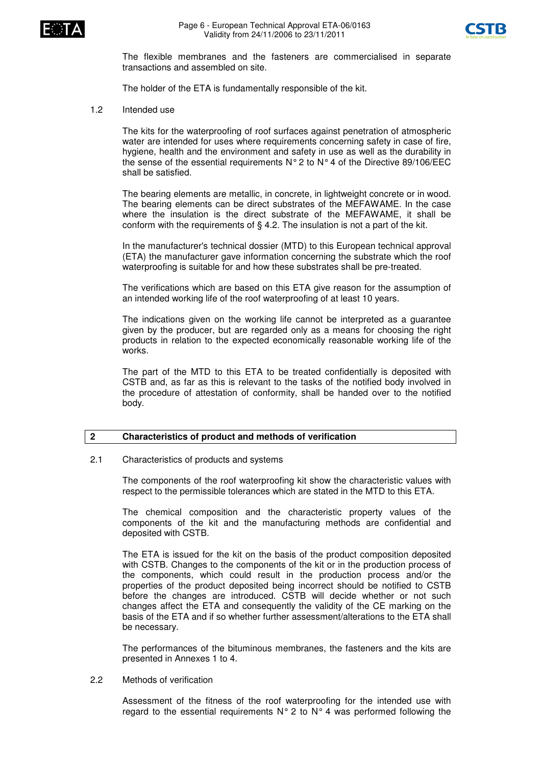



The flexible membranes and the fasteners are commercialised in separate transactions and assembled on site.

The holder of the ETA is fundamentally responsible of the kit.

1.2 Intended use

The kits for the waterproofing of roof surfaces against penetration of atmospheric water are intended for uses where requirements concerning safety in case of fire, hygiene, health and the environment and safety in use as well as the durability in the sense of the essential requirements  $N^{\circ}$  2 to  $N^{\circ}$  4 of the Directive 89/106/EEC shall be satisfied.

The bearing elements are metallic, in concrete, in lightweight concrete or in wood. The bearing elements can be direct substrates of the MEFAWAME. In the case where the insulation is the direct substrate of the MEFAWAME, it shall be conform with the requirements of § 4.2. The insulation is not a part of the kit.

In the manufacturer's technical dossier (MTD) to this European technical approval (ETA) the manufacturer gave information concerning the substrate which the roof waterproofing is suitable for and how these substrates shall be pre-treated.

The verifications which are based on this ETA give reason for the assumption of an intended working life of the roof waterproofing of at least 10 years.

The indications given on the working life cannot be interpreted as a guarantee given by the producer, but are regarded only as a means for choosing the right products in relation to the expected economically reasonable working life of the works.

The part of the MTD to this ETA to be treated confidentially is deposited with CSTB and, as far as this is relevant to the tasks of the notified body involved in the procedure of attestation of conformity, shall be handed over to the notified body.

#### **2 Characteristics of product and methods of verification**

2.1 Characteristics of products and systems

The components of the roof waterproofing kit show the characteristic values with respect to the permissible tolerances which are stated in the MTD to this ETA.

The chemical composition and the characteristic property values of the components of the kit and the manufacturing methods are confidential and deposited with CSTB.

The ETA is issued for the kit on the basis of the product composition deposited with CSTB. Changes to the components of the kit or in the production process of the components, which could result in the production process and/or the properties of the product deposited being incorrect should be notified to CSTB before the changes are introduced. CSTB will decide whether or not such changes affect the ETA and consequently the validity of the CE marking on the basis of the ETA and if so whether further assessment/alterations to the ETA shall be necessary.

The performances of the bituminous membranes, the fasteners and the kits are presented in Annexes 1 to 4.

2.2 Methods of verification

Assessment of the fitness of the roof waterproofing for the intended use with regard to the essential requirements  $N^{\circ}$  2 to  $N^{\circ}$  4 was performed following the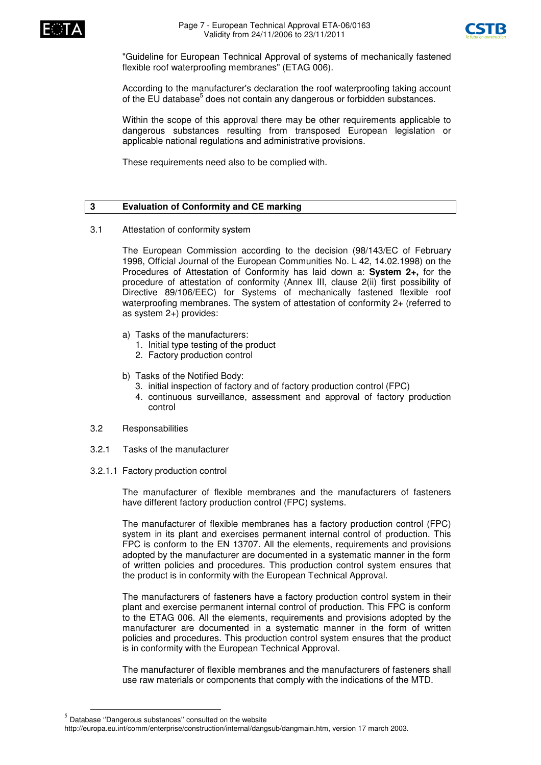



"Guideline for European Technical Approval of systems of mechanically fastened flexible roof waterproofing membranes" (ETAG 006).

According to the manufacturer's declaration the roof waterproofing taking account of the EU database<sup>5</sup> does not contain any dangerous or forbidden substances.

Within the scope of this approval there may be other requirements applicable to dangerous substances resulting from transposed European legislation or applicable national regulations and administrative provisions.

These requirements need also to be complied with.

#### **3 Evaluation of Conformity and CE marking**

3.1 Attestation of conformity system

The European Commission according to the decision (98/143/EC of February 1998, Official Journal of the European Communities No. L 42, 14.02.1998) on the Procedures of Attestation of Conformity has laid down a: **System 2+,** for the procedure of attestation of conformity (Annex III, clause 2(ii) first possibility of Directive 89/106/EEC) for Systems of mechanically fastened flexible roof waterproofing membranes. The system of attestation of conformity 2+ (referred to as system 2+) provides:

- a) Tasks of the manufacturers:
	- 1. Initial type testing of the product
	- 2. Factory production control
- b) Tasks of the Notified Body:
	- 3. initial inspection of factory and of factory production control (FPC)
	- 4. continuous surveillance, assessment and approval of factory production control
- 3.2 Responsabilities
- 3.2.1 Tasks of the manufacturer
- 3.2.1.1 Factory production control

The manufacturer of flexible membranes and the manufacturers of fasteners have different factory production control (FPC) systems.

The manufacturer of flexible membranes has a factory production control (FPC) system in its plant and exercises permanent internal control of production. This FPC is conform to the EN 13707. All the elements, requirements and provisions adopted by the manufacturer are documented in a systematic manner in the form of written policies and procedures. This production control system ensures that the product is in conformity with the European Technical Approval.

The manufacturers of fasteners have a factory production control system in their plant and exercise permanent internal control of production. This FPC is conform to the ETAG 006. All the elements, requirements and provisions adopted by the manufacturer are documented in a systematic manner in the form of written policies and procedures. This production control system ensures that the product is in conformity with the European Technical Approval.

The manufacturer of flexible membranes and the manufacturers of fasteners shall use raw materials or components that comply with the indications of the MTD.

 $<sup>5</sup>$  Database "Dangerous substances" consulted on the website</sup>

http://europa.eu.int/comm/enterprise/construction/internal/dangsub/dangmain.htm, version 17 march 2003.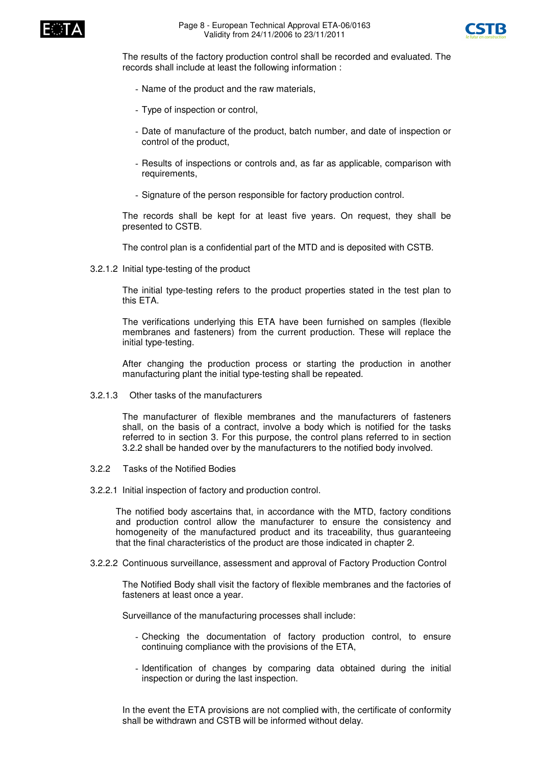



The results of the factory production control shall be recorded and evaluated. The records shall include at least the following information :

- Name of the product and the raw materials,
- Type of inspection or control,
- Date of manufacture of the product, batch number, and date of inspection or control of the product,
- Results of inspections or controls and, as far as applicable, comparison with requirements,
- Signature of the person responsible for factory production control.

The records shall be kept for at least five years. On request, they shall be presented to CSTB.

The control plan is a confidential part of the MTD and is deposited with CSTB.

3.2.1.2 Initial type-testing of the product

The initial type-testing refers to the product properties stated in the test plan to this ETA.

The verifications underlying this ETA have been furnished on samples (flexible membranes and fasteners) from the current production. These will replace the initial type-testing.

After changing the production process or starting the production in another manufacturing plant the initial type-testing shall be repeated.

3.2.1.3 Other tasks of the manufacturers

The manufacturer of flexible membranes and the manufacturers of fasteners shall, on the basis of a contract, involve a body which is notified for the tasks referred to in section 3. For this purpose, the control plans referred to in section 3.2.2 shall be handed over by the manufacturers to the notified body involved.

- 3.2.2 Tasks of the Notified Bodies
- 3.2.2.1 Initial inspection of factory and production control.

The notified body ascertains that, in accordance with the MTD, factory conditions and production control allow the manufacturer to ensure the consistency and homogeneity of the manufactured product and its traceability, thus guaranteeing that the final characteristics of the product are those indicated in chapter 2.

3.2.2.2 Continuous surveillance, assessment and approval of Factory Production Control

The Notified Body shall visit the factory of flexible membranes and the factories of fasteners at least once a year.

Surveillance of the manufacturing processes shall include:

- Checking the documentation of factory production control, to ensure continuing compliance with the provisions of the ETA,
- Identification of changes by comparing data obtained during the initial inspection or during the last inspection.

In the event the ETA provisions are not complied with, the certificate of conformity shall be withdrawn and CSTB will be informed without delay.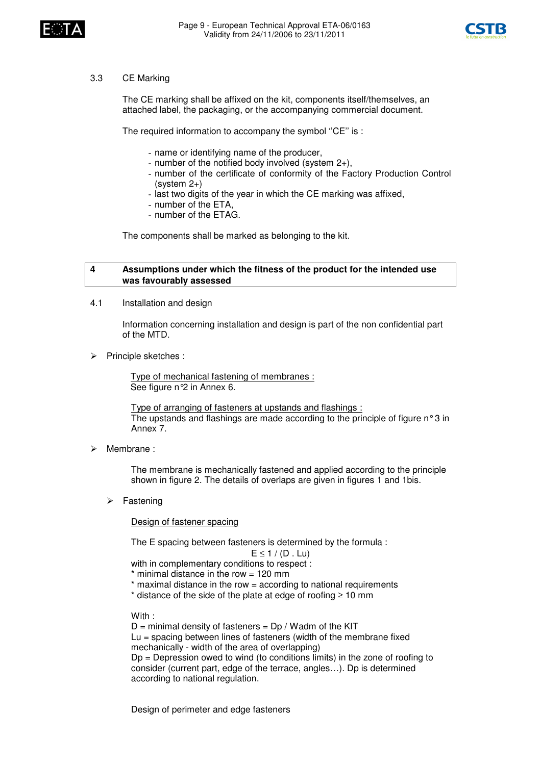



#### 3.3 CE Marking

The CE marking shall be affixed on the kit, components itself/themselves, an attached label, the packaging, or the accompanying commercial document.

The required information to accompany the symbol ''CE'' is :

- name or identifying name of the producer,
- number of the notified body involved (system 2+),
- number of the certificate of conformity of the Factory Production Control (system 2+)
- last two digits of the year in which the CE marking was affixed,
- number of the ETA,
- number of the ETAG.

The components shall be marked as belonging to the kit.

#### **4 Assumptions under which the fitness of the product for the intended use was favourably assessed**

4.1 Installation and design

Information concerning installation and design is part of the non confidential part of the MTD.

 $\triangleright$  Principle sketches :

Type of mechanical fastening of membranes : See figure n°2 in Annex 6.

Type of arranging of fasteners at upstands and flashings : The upstands and flashings are made according to the principle of figure  $n \circ 3$  in Annex 7.

Membrane :

The membrane is mechanically fastened and applied according to the principle shown in figure 2. The details of overlaps are given in figures 1 and 1bis.

 $\triangleright$  Fastening

Design of fastener spacing

The E spacing between fasteners is determined by the formula :

 $E \leq 1/(D L)$ 

with in complementary conditions to respect :

- $*$  minimal distance in the row = 120 mm
- \* maximal distance in the row = according to national requirements
- \* distance of the side of the plate at edge of roofing ≥ 10 mm

With :

 $D =$  minimal density of fasteners =  $Dp / W$ adm of the KIT  $Lu =$  spacing between lines of fasteners (width of the membrane fixed mechanically - width of the area of overlapping) Dp = Depression owed to wind (to conditions limits) in the zone of roofing to consider (current part, edge of the terrace, angles…). Dp is determined according to national regulation.

Design of perimeter and edge fasteners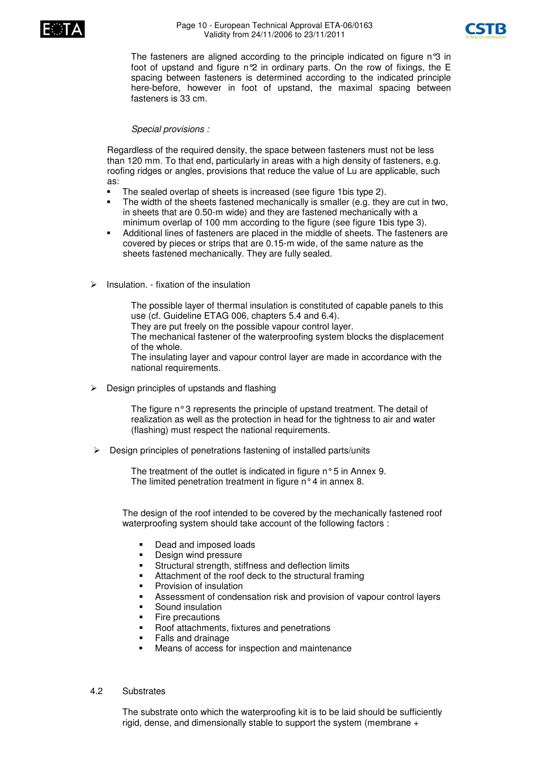



The fasteners are aligned according to the principle indicated on figure n°3 in foot of upstand and figure n°2 in ordinary parts. On the row of fixings, the E spacing between fasteners is determined according to the indicated principle here-before, however in foot of upstand, the maximal spacing between fasteners is 33 cm.

#### *Special provisions :*

Regardless of the required density, the space between fasteners must not be less than 120 mm. To that end, particularly in areas with a high density of fasteners, e.g. roofing ridges or angles, provisions that reduce the value of Lu are applicable, such as:

- -The sealed overlap of sheets is increased (see figure 1bis type 2).
- - The width of the sheets fastened mechanically is smaller (e.g. they are cut in two, in sheets that are 0.50-m wide) and they are fastened mechanically with a minimum overlap of 100 mm according to the figure (see figure 1bis type 3).
- - Additional lines of fasteners are placed in the middle of sheets. The fasteners are covered by pieces or strips that are 0.15-m wide, of the same nature as the sheets fastened mechanically. They are fully sealed.
- $\triangleright$  Insulation. fixation of the insulation

The possible layer of thermal insulation is constituted of capable panels to this use (cf. Guideline ETAG 006, chapters 5.4 and 6.4).

They are put freely on the possible vapour control layer.

The mechanical fastener of the waterproofing system blocks the displacement of the whole.

The insulating layer and vapour control layer are made in accordance with the national requirements.

 $\triangleright$  Design principles of upstands and flashing

The figure n°3 represents the principle of upstand treatment. The detail of realization as well as the protection in head for the tightness to air and water (flashing) must respect the national requirements.

 $\triangleright$  Design principles of penetrations fastening of installed parts/units

The treatment of the outlet is indicated in figure n°5 in Annex 9. The limited penetration treatment in figure n°4 in annex 8.

The design of the roof intended to be covered by the mechanically fastened roof waterproofing system should take account of the following factors :

- -Dead and imposed loads
- -Design wind pressure
- -Structural strength, stiffness and deflection limits
- -Attachment of the roof deck to the structural framing
- -Provision of insulation
- -Assessment of condensation risk and provision of vapour control layers
- -Sound insulation
- -Fire precautions
- -Roof attachments, fixtures and penetrations
- -Falls and drainage
- -Means of access for inspection and maintenance

#### 4.2 Substrates

The substrate onto which the waterproofing kit is to be laid should be sufficiently rigid, dense, and dimensionally stable to support the system (membrane +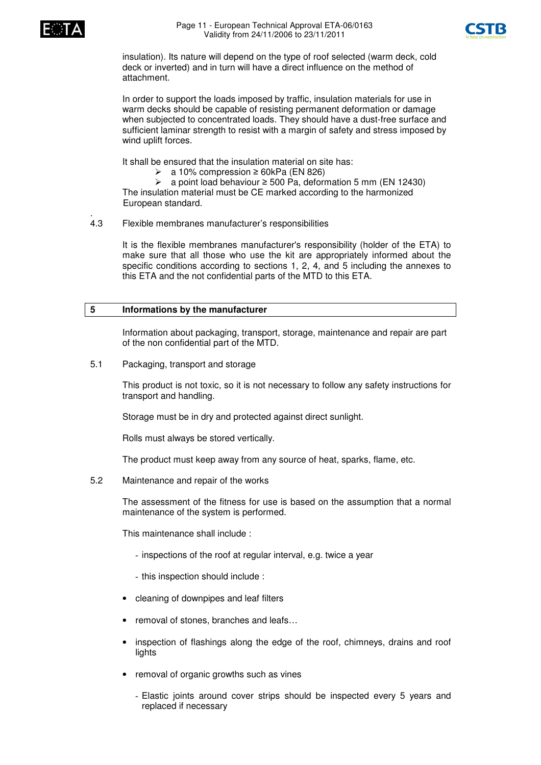



insulation). Its nature will depend on the type of roof selected (warm deck, cold deck or inverted) and in turn will have a direct influence on the method of attachment.

In order to support the loads imposed by traffic, insulation materials for use in warm decks should be capable of resisting permanent deformation or damage when subjected to concentrated loads. They should have a dust-free surface and sufficient laminar strength to resist with a margin of safety and stress imposed by wind uplift forces.

It shall be ensured that the insulation material on site has:

 $\geq$  a 10% compression  $\geq$  60kPa (EN 826)

 $\triangleright$  a point load behaviour  $\geq$  500 Pa, deformation 5 mm (EN 12430) The insulation material must be CE marked according to the harmonized European standard.

#### . 4.3 Flexible membranes manufacturer's responsibilities

It is the flexible membranes manufacturer's responsibility (holder of the ETA) to make sure that all those who use the kit are appropriately informed about the specific conditions according to sections 1, 2, 4, and 5 including the annexes to this ETA and the not confidential parts of the MTD to this ETA.

#### **5 Informations by the manufacturer**

Information about packaging, transport, storage, maintenance and repair are part of the non confidential part of the MTD.

5.1 Packaging, transport and storage

This product is not toxic, so it is not necessary to follow any safety instructions for transport and handling.

Storage must be in dry and protected against direct sunlight.

Rolls must always be stored vertically.

The product must keep away from any source of heat, sparks, flame, etc.

5.2 Maintenance and repair of the works

The assessment of the fitness for use is based on the assumption that a normal maintenance of the system is performed.

This maintenance shall include :

- inspections of the roof at regular interval, e.g. twice a year
- this inspection should include :
- cleaning of downpipes and leaf filters
- removal of stones, branches and leafs…
- inspection of flashings along the edge of the roof, chimneys, drains and roof lights
- removal of organic growths such as vines
	- Elastic joints around cover strips should be inspected every 5 years and replaced if necessary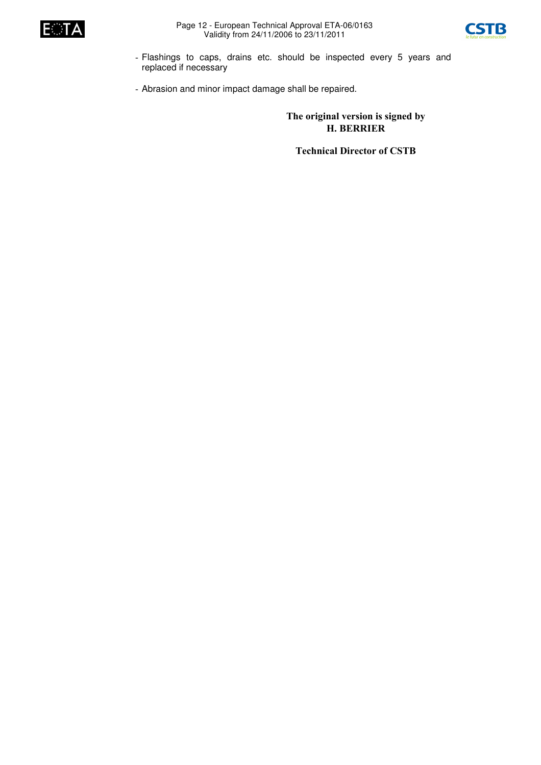



- Flashings to caps, drains etc. should be inspected every 5 years and replaced if necessary
- Abrasion and minor impact damage shall be repaired.

The original version is signed by **H. BERRIER** 

**Technical Director of CSTB**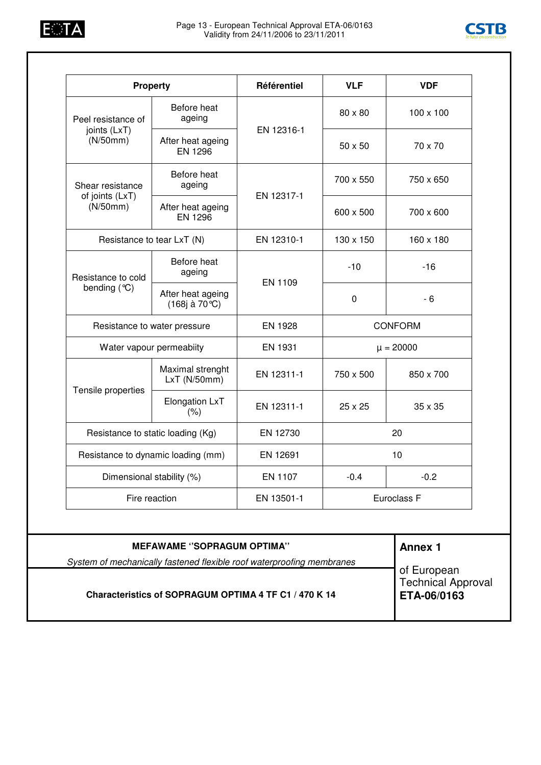



|                                                | <b>Property</b>                     | Référentiel    | <b>VLF</b>     | <b>VDF</b>       |  |
|------------------------------------------------|-------------------------------------|----------------|----------------|------------------|--|
| Peel resistance of<br>joints (LxT)<br>(N/50mm) | Before heat<br>ageing               | EN 12316-1     | 80 x 80        | $100 \times 100$ |  |
|                                                | After heat ageing<br><b>EN 1296</b> |                | $50 \times 50$ | 70 x 70          |  |
| Shear resistance                               | Before heat<br>ageing               | EN 12317-1     | 700 x 550      | 750 x 650        |  |
| of joints (LxT)<br>(N/50mm)                    | After heat ageing<br>EN 1296        |                | 600 x 500      | 700 x 600        |  |
|                                                | Resistance to tear LxT (N)          | EN 12310-1     | 130 x 150      | 160 x 180        |  |
| Resistance to cold<br>bending (°C)             | Before heat<br>ageing               | EN 1109        | $-10$          | $-16$            |  |
|                                                | After heat ageing<br>(168j à 70 °C) |                | $\mathbf 0$    | $-6$             |  |
| Resistance to water pressure                   |                                     | <b>EN 1928</b> | <b>CONFORM</b> |                  |  |
| Water vapour permeabiity                       |                                     | EN 1931        | $\mu = 20000$  |                  |  |
| Tensile properties                             | Maximal strenght<br>LxT(N/50mm)     | EN 12311-1     | 750 x 500      | 850 x 700        |  |
|                                                | Elongation LxT<br>(% )              | EN 12311-1     | 25 x 25        | $35 \times 35$   |  |
|                                                | Resistance to static loading (Kg)   | EN 12730       |                | 20               |  |
| Resistance to dynamic loading (mm)             |                                     | EN 12691       | 10             |                  |  |
| Dimensional stability (%)                      |                                     | EN 1107        | $-0.4$         | $-0.2$           |  |
| Fire reaction                                  |                                     | EN 13501-1     | Euroclass F    |                  |  |
|                                                |                                     |                |                |                  |  |
|                                                | <b>MEFAWAME "SOPRAGUM OPTIMA"</b>   |                |                | <b>Annex 1</b>   |  |

**Characteristics of SOPRAGUM OPTIMA 4 TF C1 / 470 K 14**

of European Technical Approval **ETA-06/0163**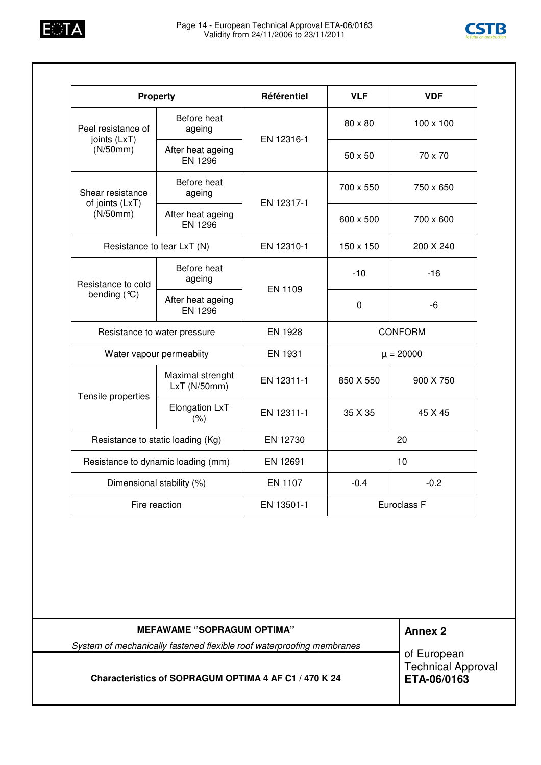



| <b>Property</b>                     |                                            | Référentiel    | <b>VLF</b>     | <b>VDF</b>       |
|-------------------------------------|--------------------------------------------|----------------|----------------|------------------|
| Peel resistance of                  | Before heat<br>ageing                      |                | $80 \times 80$ | $100 \times 100$ |
| joints (LxT)<br>(N/50mm)            | EN 12316-1<br>After heat ageing<br>EN 1296 |                | $50 \times 50$ | 70 x 70          |
| Shear resistance<br>of joints (LxT) | Before heat<br>ageing                      | EN 12317-1     | 700 x 550      | 750 x 650        |
| (N/50mm)                            | After heat ageing<br><b>EN 1296</b>        |                | 600 x 500      | 700 x 600        |
| Resistance to tear LxT (N)          |                                            | EN 12310-1     | 150 x 150      | 200 X 240        |
| Resistance to cold<br>bending (°C)  | Before heat<br>ageing                      | EN 1109        | $-10$          | $-16$            |
|                                     | After heat ageing<br><b>EN 1296</b>        |                | $\mathbf 0$    | -6               |
| Resistance to water pressure        |                                            | EN 1928        | <b>CONFORM</b> |                  |
|                                     | Water vapour permeabiity                   | <b>EN 1931</b> | $\mu = 20000$  |                  |
|                                     | Maximal strenght<br>LxT (N/50mm)           | EN 12311-1     | 850 X 550      | 900 X 750        |
| Tensile properties                  | Elongation LxT<br>(% )                     | EN 12311-1     | 35 X 35        | 45 X 45          |
| Resistance to static loading (Kg)   |                                            | EN 12730       | 20             |                  |
| Resistance to dynamic loading (mm)  |                                            | EN 12691       | 10             |                  |
| Dimensional stability (%)           |                                            | EN 1107        | $-0.4$         | $-0.2$           |
| Fire reaction                       |                                            | EN 13501-1     | Euroclass F    |                  |

| <b>MEFAWAME "SOPRAGUM OPTIMA"</b>                                     | <b>Annex 2</b>                                          |
|-----------------------------------------------------------------------|---------------------------------------------------------|
| System of mechanically fastened flexible roof waterproofing membranes |                                                         |
| Characteristics of SOPRAGUM OPTIMA 4 AF C1 / 470 K 24                 | of European<br><b>Technical Approval</b><br>ETA-06/0163 |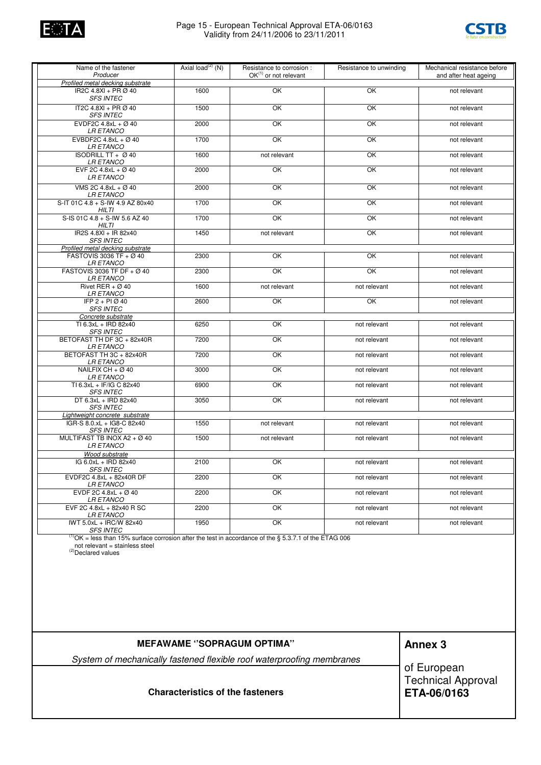

#### Page 15 - European Technical Approval ETA-06/0163 Validity from 24/11/2006 to 23/11/2011



| Name of the fastener<br>Producer                                                                                                                    | Axial load <sup>(2)</sup> (N) | Resistance to corrosion :<br>$OK^{(1)}$ or not relevant | Resistance to unwinding | Mechanical resistance before |
|-----------------------------------------------------------------------------------------------------------------------------------------------------|-------------------------------|---------------------------------------------------------|-------------------------|------------------------------|
| Profiled metal decking substrate                                                                                                                    |                               |                                                         |                         | and after heat ageing        |
| IR2C 4.8XI + PR Ø 40<br><b>SFS INTEC</b>                                                                                                            | 1600                          | OK                                                      | OK                      | not relevant                 |
| IT2C 4.8XI + PR Ø 40<br><b>SFS INTEC</b>                                                                                                            | 1500                          | OK                                                      | OK                      | not relevant                 |
| EVDF2C $4.8xL + \varnothing 40$<br><b>LR ETANCO</b>                                                                                                 | 2000                          | OK                                                      | OK                      | not relevant                 |
| EVBDF2C 4.8xL + $\varnothing$ 40<br><i>LR ETANCO</i>                                                                                                | 1700                          | OK                                                      | OK                      | not relevant                 |
| ISODRILL TT + Ø 40<br><i>LR ETANCO</i>                                                                                                              | 1600                          | not relevant                                            | OK                      | not relevant                 |
| EVF 2C 4.8xL + $\varnothing$ 40<br><b>LR ETANCO</b>                                                                                                 | 2000                          | OK                                                      | OK                      | not relevant                 |
| VMS 2C 4.8xL + Ø 40<br><i>LR ETANCO</i>                                                                                                             | 2000                          | OK                                                      | OK                      | not relevant                 |
| S-IT 01C 4.8 + S-IW 4.9 AZ 80x40<br>HILTI                                                                                                           | 1700                          | OK                                                      | OK                      | not relevant                 |
| S-IS 01C 4.8 + S-IW 5.6 AZ 40<br>HILTI                                                                                                              | 1700                          | OK                                                      | OK                      | not relevant                 |
| IR2S 4.8XI + IR 82x40<br><b>SFS INTEC</b>                                                                                                           | 1450                          | not relevant                                            | OK                      | not relevant                 |
| Profiled metal decking substrate                                                                                                                    |                               |                                                         |                         |                              |
| FASTOVIS 3036 TF + $\varnothing$ 40<br><b>LR ETANCO</b>                                                                                             | 2300                          | OK                                                      | OK                      | not relevant                 |
| FASTOVIS 3036 TF DF + Ø 40<br><i>LR ETANCO</i>                                                                                                      | 2300                          | OK                                                      | OK                      | not relevant                 |
| Rivet RER + $\varnothing$ 40<br><b>LR ETANCO</b>                                                                                                    | 1600                          | not relevant                                            | not relevant            | not relevant                 |
| IFP 2 + PI Ø 40<br><b>SFS INTEC</b>                                                                                                                 | 2600                          | OK                                                      | OK                      | not relevant                 |
| Concrete substrate                                                                                                                                  |                               |                                                         |                         |                              |
| TI 6.3xL + IRD 82x40<br><b>SFS INTEC</b>                                                                                                            | 6250                          | OK                                                      | not relevant            | not relevant                 |
| BETOFAST TH DF 3C + 82x40R<br><b>LR ETANCO</b>                                                                                                      | 7200                          | OK                                                      | not relevant            | not relevant                 |
| BETOFAST TH 3C + 82x40R<br><b>LR ETANCO</b>                                                                                                         | 7200                          | OK                                                      | not relevant            | not relevant                 |
| NAILFIX CH + $\varnothing$ 40<br><b>LR ETANCO</b>                                                                                                   | 3000                          | OK                                                      | not relevant            | not relevant                 |
| TI 6.3xL + IF/IG C 82x40<br><b>SFS INTEC</b>                                                                                                        | 6900                          | OK                                                      | not relevant            | not relevant                 |
| DT 6.3xL + IRD 82x40<br><b>SFS INTEC</b>                                                                                                            | 3050                          | OK                                                      | not relevant            | not relevant                 |
| Lightweight concrete substrate                                                                                                                      |                               |                                                         |                         |                              |
| IGR-S 8.0.xL + IG8-C 82x40<br><b>SFS INTEC</b>                                                                                                      | 1550                          | not relevant                                            | not relevant            | not relevant                 |
| MULTIFAST TB INOX A2 + $\varnothing$ 40<br><b>LR ETANCO</b>                                                                                         | 1500                          | not relevant                                            | not relevant            | not relevant                 |
| Wood substrate                                                                                                                                      |                               |                                                         |                         |                              |
| IG 6.0xL + IRD 82x40<br><i>SFS INTEC</i>                                                                                                            | 2100                          | OK                                                      | not relevant            | not relevant                 |
| EVDF2C 4.8xL + 82x40R DF<br><b>LR ETANCO</b>                                                                                                        | 2200                          | OK                                                      | not relevant            | not relevant                 |
| EVDF 2C 4.8xL + $\varnothing$ 40<br><i>LR ETANCO</i>                                                                                                | 2200                          | OK                                                      | not relevant            | not relevant                 |
| EVF 2C 4.8xL + 82x40 R SC<br><b>LR ETANCO</b>                                                                                                       | 2200                          | OK                                                      | not relevant            | not relevant                 |
| IWT 5.0xL + IRC/W 82x40<br><b>SFS INTEC</b>                                                                                                         | 1950                          | OK                                                      | not relevant            | not relevant                 |
| <sup>(1)</sup> OK = less than 15% surface corrosion after the test in accordance of the § 5.3.7.1 of the ETAG 006<br>not relevant = stainless steel |                               |                                                         |                         |                              |

not relevant = stainless steel (2)Declared values

| <b>MEFAWAME "SOPRAGUM OPTIMA"</b>                                     | <b>Annex 3</b>                                          |
|-----------------------------------------------------------------------|---------------------------------------------------------|
| System of mechanically fastened flexible roof waterproofing membranes |                                                         |
| <b>Characteristics of the fasteners</b>                               | of European<br>Technical Approval<br><b>ETA-06/0163</b> |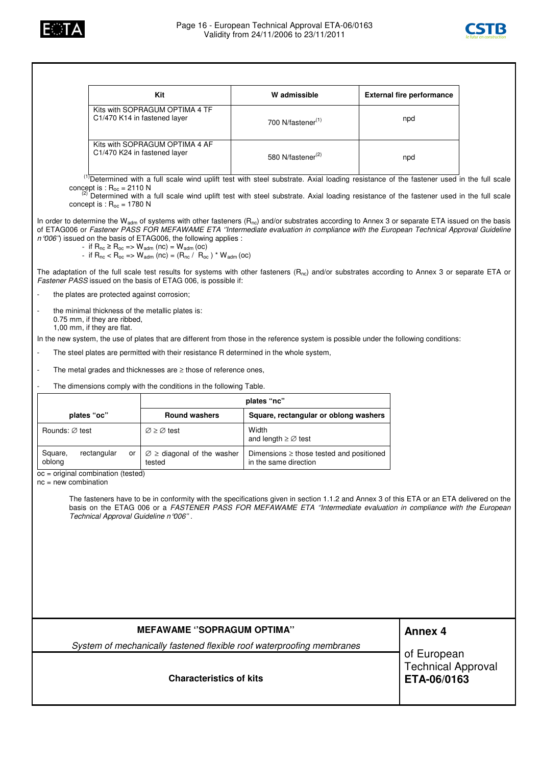



|                                                                                                                                                                                                                                                                                                         |                                                                  | Kit                                                                                                                                                                                                                       | W admissible                                                                                                                                                                                                                                                                                             |  | <b>External fire performance</b> |  |
|---------------------------------------------------------------------------------------------------------------------------------------------------------------------------------------------------------------------------------------------------------------------------------------------------------|------------------------------------------------------------------|---------------------------------------------------------------------------------------------------------------------------------------------------------------------------------------------------------------------------|----------------------------------------------------------------------------------------------------------------------------------------------------------------------------------------------------------------------------------------------------------------------------------------------------------|--|----------------------------------|--|
|                                                                                                                                                                                                                                                                                                         |                                                                  | Kits with SOPRAGUM OPTIMA 4 TF<br>C1/470 K14 in fastened layer                                                                                                                                                            | 700 N/fastener <sup>(1)</sup>                                                                                                                                                                                                                                                                            |  | npd                              |  |
|                                                                                                                                                                                                                                                                                                         |                                                                  | Kits with SOPRAGUM OPTIMA 4 AF<br>C1/470 K24 in fastened layer                                                                                                                                                            | 580 N/fastener <sup>(2)</sup>                                                                                                                                                                                                                                                                            |  | npd                              |  |
|                                                                                                                                                                                                                                                                                                         | concept is : $R_{oc} = 2110 N$<br>concept is : $R_{oc}$ = 1780 N |                                                                                                                                                                                                                           | <sup>(1)</sup> Determined with a full scale wind uplift test with steel substrate. Axial loading resistance of the fastener used in the full scale<br><sup>(2)</sup> Determined with a full scale wind uplift test with steel substrate. Axial loading resistance of the fastener used in the full scale |  |                                  |  |
|                                                                                                                                                                                                                                                                                                         |                                                                  | n '006'') issued on the basis of ETAG006, the following applies :<br>- if $R_{nc}$ ≥ $R_{oc}$ => $W_{adm}$ (nc) = $W_{adm}$ (oc)<br>- if $R_{nc}$ < $R_{oc}$ => $W_{adm}$ (nc) = ( $R_{nc}$ / $R_{oc}$ ) * $W_{adm}$ (oc) | In order to determine the W <sub>adm</sub> of systems with other fasteners ( $R_{nc}$ ) and/or substrates according to Annex 3 or separate ETA issued on the basis<br>of ETAG006 or Fastener PASS FOR MEFAWAME ETA "Intermediate evaluation in compliance with the European Technical Approval Guideline |  |                                  |  |
|                                                                                                                                                                                                                                                                                                         |                                                                  | Fastener PASS issued on the basis of ETAG 006, is possible if:                                                                                                                                                            | The adaptation of the full scale test results for systems with other fasteners ( $R_{nc}$ ) and/or substrates according to Annex 3 or separate ETA or                                                                                                                                                    |  |                                  |  |
|                                                                                                                                                                                                                                                                                                         | the plates are protected against corrosion;                      |                                                                                                                                                                                                                           |                                                                                                                                                                                                                                                                                                          |  |                                  |  |
|                                                                                                                                                                                                                                                                                                         | 0.75 mm, if they are ribbed,<br>1,00 mm, if they are flat.       | the minimal thickness of the metallic plates is:                                                                                                                                                                          |                                                                                                                                                                                                                                                                                                          |  |                                  |  |
|                                                                                                                                                                                                                                                                                                         |                                                                  |                                                                                                                                                                                                                           | In the new system, the use of plates that are different from those in the reference system is possible under the following conditions:                                                                                                                                                                   |  |                                  |  |
| $\overline{\phantom{a}}$                                                                                                                                                                                                                                                                                |                                                                  | The steel plates are permitted with their resistance R determined in the whole system,                                                                                                                                    |                                                                                                                                                                                                                                                                                                          |  |                                  |  |
| $\overline{\phantom{a}}$                                                                                                                                                                                                                                                                                |                                                                  | The metal grades and thicknesses are $\geq$ those of reference ones,                                                                                                                                                      |                                                                                                                                                                                                                                                                                                          |  |                                  |  |
|                                                                                                                                                                                                                                                                                                         |                                                                  | The dimensions comply with the conditions in the following Table.                                                                                                                                                         |                                                                                                                                                                                                                                                                                                          |  |                                  |  |
|                                                                                                                                                                                                                                                                                                         |                                                                  |                                                                                                                                                                                                                           | plates "nc"                                                                                                                                                                                                                                                                                              |  |                                  |  |
|                                                                                                                                                                                                                                                                                                         | plates "oc"                                                      | <b>Round washers</b>                                                                                                                                                                                                      | Square, rectangular or oblong washers                                                                                                                                                                                                                                                                    |  |                                  |  |
| Rounds: Ø test                                                                                                                                                                                                                                                                                          |                                                                  | $\varnothing \geq \varnothing$ test                                                                                                                                                                                       | Width<br>and length $\geq \emptyset$ test                                                                                                                                                                                                                                                                |  |                                  |  |
| Square,<br>oblong                                                                                                                                                                                                                                                                                       | rectangular<br>or                                                | $\varnothing \geq$ diagonal of the washer<br>tested                                                                                                                                                                       | Dimensions $\geq$ those tested and positioned<br>in the same direction                                                                                                                                                                                                                                   |  |                                  |  |
| $nc = new combination$                                                                                                                                                                                                                                                                                  | oc = original combination (tested)                               |                                                                                                                                                                                                                           |                                                                                                                                                                                                                                                                                                          |  |                                  |  |
| The fasteners have to be in conformity with the specifications given in section 1.1.2 and Annex 3 of this ETA or an ETA delivered on the<br>basis on the ETAG 006 or a FASTENER PASS FOR MEFAWAME ETA "Intermediate evaluation in compliance with the European<br>Technical Approval Guideline n '006". |                                                                  |                                                                                                                                                                                                                           |                                                                                                                                                                                                                                                                                                          |  |                                  |  |
|                                                                                                                                                                                                                                                                                                         |                                                                  |                                                                                                                                                                                                                           |                                                                                                                                                                                                                                                                                                          |  |                                  |  |
|                                                                                                                                                                                                                                                                                                         |                                                                  | <b>MEFAWAME "SOPRAGUM OPTIMA"</b>                                                                                                                                                                                         |                                                                                                                                                                                                                                                                                                          |  | <b>Annex 4</b>                   |  |
| System of mechanically fastened flexible roof waterproofing membranes<br><b>Characteristics of kits</b>                                                                                                                                                                                                 |                                                                  |                                                                                                                                                                                                                           | of European<br><b>Technical Approval</b><br>ETA-06/0163                                                                                                                                                                                                                                                  |  |                                  |  |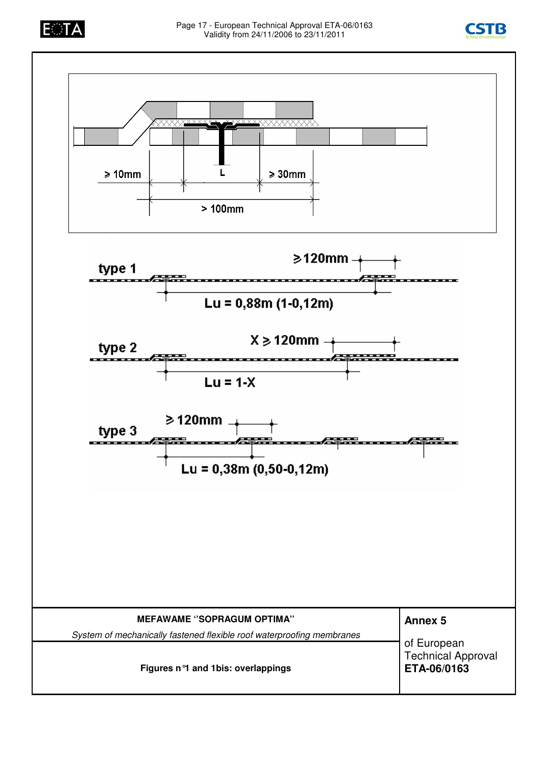



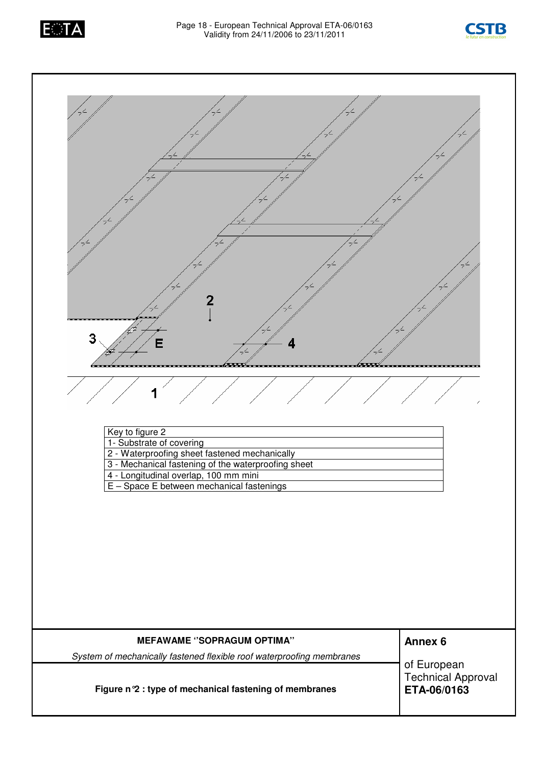



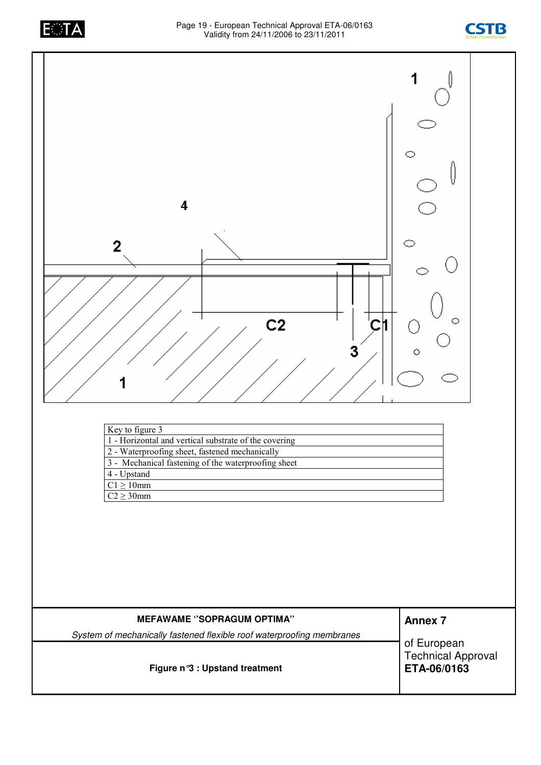





| <b>MEFAWAME "SOPRAGUM OPTIMA"</b>                                     | <b>Annex 7</b>                                          |  |
|-----------------------------------------------------------------------|---------------------------------------------------------|--|
| System of mechanically fastened flexible roof waterproofing membranes |                                                         |  |
| Figure n°3 : Upstand treatment                                        | of European<br><b>Technical Approval</b><br>ETA-06/0163 |  |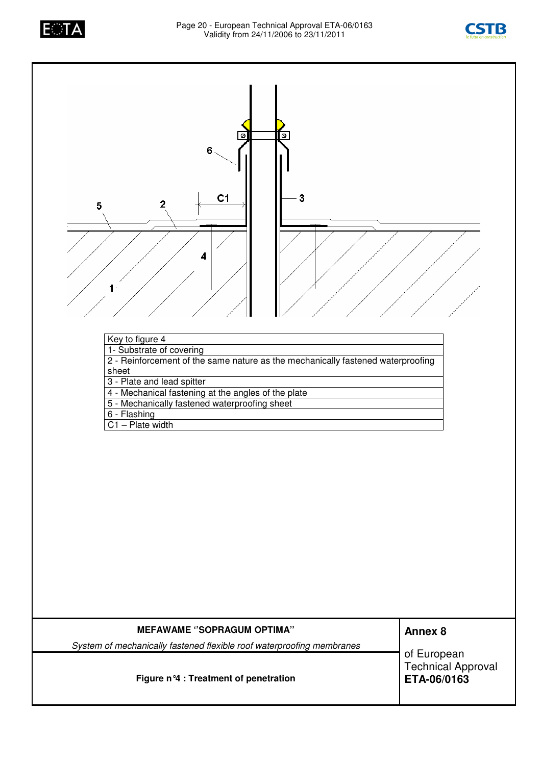





**Figure n°4 : Treatment of penetration**

*System of mechanically fastened flexible roof waterproofing membranes*

of European

Technical Approval **ETA-06/0163**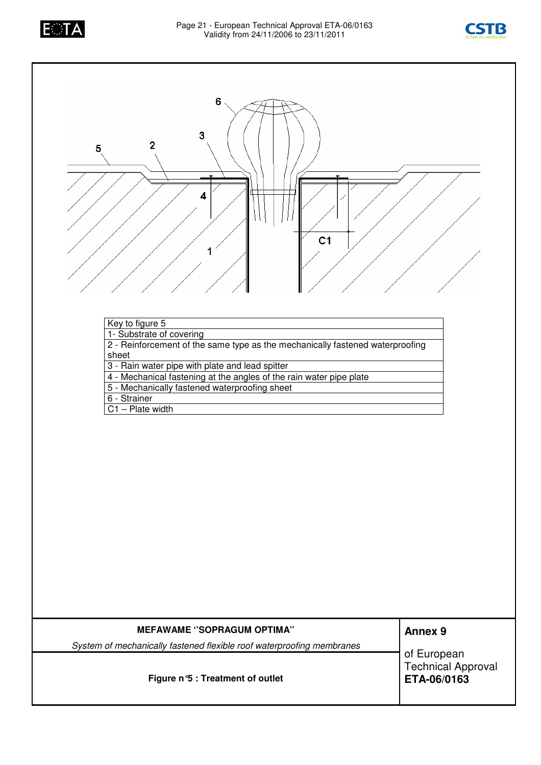





| Key to figure 5                                                               |
|-------------------------------------------------------------------------------|
| 1- Substrate of covering                                                      |
| 2 - Reinforcement of the same type as the mechanically fastened waterproofing |
| sheet                                                                         |
| 3 - Rain water pipe with plate and lead spitter                               |
| 4 - Mechanical fastening at the angles of the rain water pipe plate           |
| 5 - Mechanically fastened waterproofing sheet                                 |
| 6 - Strainer                                                                  |
| $C1 - Plate width$                                                            |
|                                                                               |

| <b>MEFAWAME "SOPRAGUM OPTIMA"</b>                                     | <b>Annex 9</b>                                   |
|-----------------------------------------------------------------------|--------------------------------------------------|
| System of mechanically fastened flexible roof waterproofing membranes |                                                  |
| Figure n°5 : Treatment of outlet                                      | of European<br>Technical Approval<br>ETA-06/0163 |